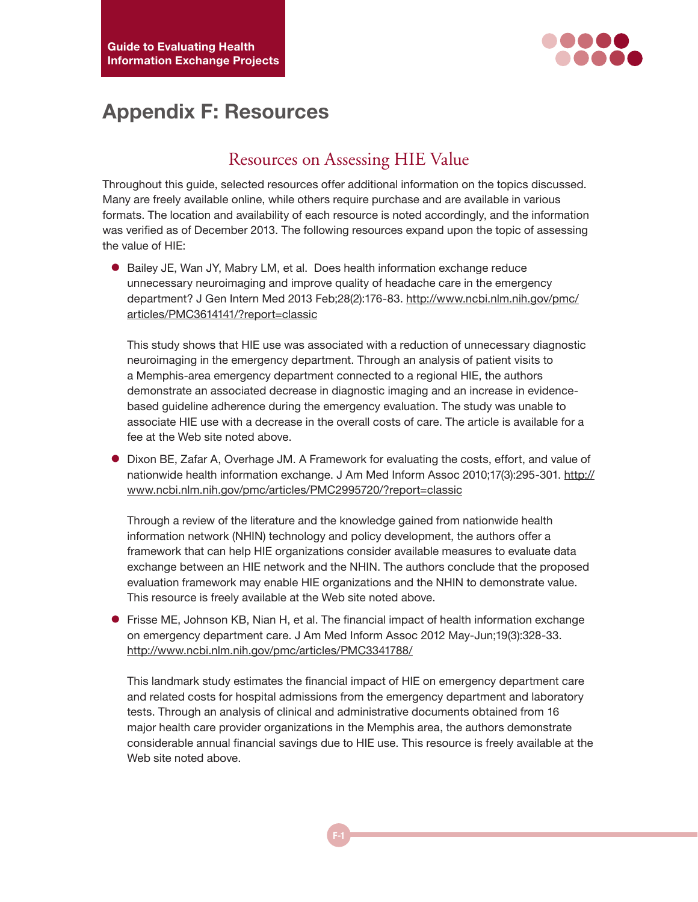

# **Appendix F: Resources**

## Resources on Assessing HIE Value

Throughout this guide, selected resources offer additional information on the topics discussed. Many are freely available online, while others require purchase and are available in various formats. The location and availability of each resource is noted accordingly, and the information was verified as of December 2013. The following resources expand upon the topic of assessing the value of HIE:

**• Bailey JE, Wan JY, Mabry LM, et al. Does health information exchange reduce** unnecessary neuroimaging and improve quality of headache care in the emergency department? J Gen Intern Med 2013 Feb;28(2):176-83. [http://www.ncbi.nlm.nih.gov/pmc/](http://www.ncbi.nlm.nih.gov/pmc/articles/PMC3614141/?report=classic) [articles/PMC3614141/?report=classic](http://www.ncbi.nlm.nih.gov/pmc/articles/PMC3614141/?report=classic)

This study shows that HIE use was associated with a reduction of unnecessary diagnostic neuroimaging in the emergency department. Through an analysis of patient visits to a Memphis-area emergency department connected to a regional HIE, the authors demonstrate an associated decrease in diagnostic imaging and an increase in evidencebased guideline adherence during the emergency evaluation. The study was unable to associate HIE use with a decrease in the overall costs of care. The article is available for a fee at the Web site noted above.

• Dixon BE, Zafar A, Overhage JM. A Framework for evaluating the costs, effort, and value of nationwide health information exchange. J Am Med Inform Assoc 2010;17(3):295-301. [http://](http://www.ncbi.nlm.nih.gov/pmc/articles/PMC2995720/?report=classic) [www.ncbi.nlm.nih.gov/pmc/articles/PMC2995720/?report=classic](http://www.ncbi.nlm.nih.gov/pmc/articles/PMC2995720/?report=classic)

Through a review of the literature and the knowledge gained from nationwide health information network (NHIN) technology and policy development, the authors offer a framework that can help HIE organizations consider available measures to evaluate data exchange between an HIE network and the NHIN. The authors conclude that the proposed evaluation framework may enable HIE organizations and the NHIN to demonstrate value. This resource is freely available at the Web site noted above.

**•** Frisse ME, Johnson KB, Nian H, et al. The financial impact of health information exchange on emergency department care. J Am Med Inform Assoc 2012 May-Jun;19(3):328-33. <http://www.ncbi.nlm.nih.gov/pmc/articles/PMC3341788/>

This landmark study estimates the financial impact of HIE on emergency department care and related costs for hospital admissions from the emergency department and laboratory tests. Through an analysis of clinical and administrative documents obtained from 16 major health care provider organizations in the Memphis area, the authors demonstrate considerable annual financial savings due to HIE use. This resource is freely available at the Web site noted above.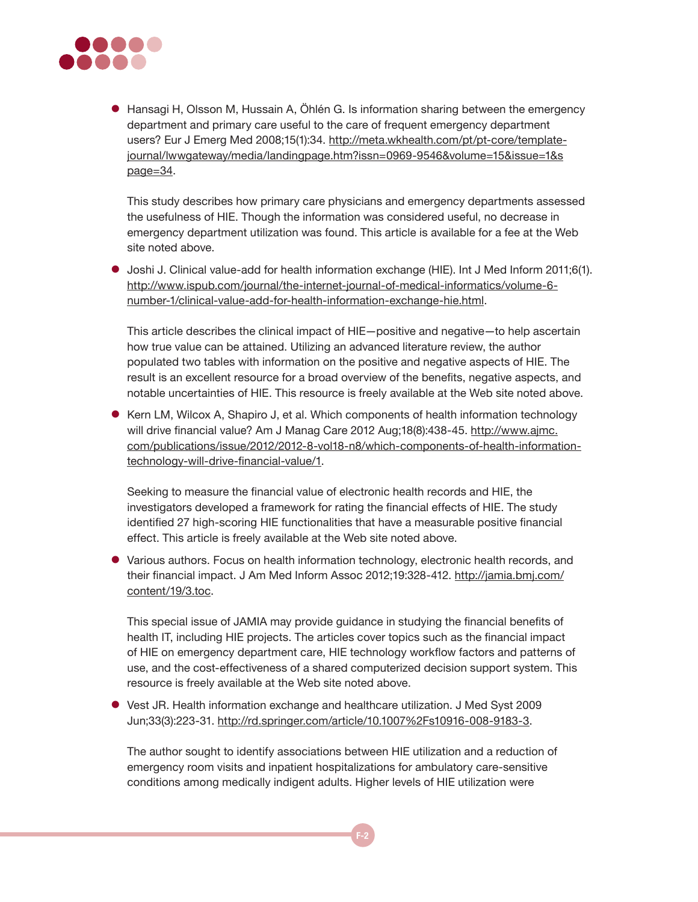

• Hansagi H, Olsson M, Hussain A, Öhlén G. Is information sharing between the emergency department and primary care useful to the care of frequent emergency department users? Eur J Emerg Med 2008;15(1):34. [http://meta.wkhealth.com/pt/pt-core/template](http://meta.wkhealth.com/pt/pt-core/template-journal/lwwgateway/media/landingpage.htm?issn=0969-9546&volume=15&issue=1&spage=34)[journal/lwwgateway/media/landingpage.htm?issn=0969-9546&volume=15&issue=1&s](http://meta.wkhealth.com/pt/pt-core/template-journal/lwwgateway/media/landingpage.htm?issn=0969-9546&volume=15&issue=1&spage=34) [page=34.](http://meta.wkhealth.com/pt/pt-core/template-journal/lwwgateway/media/landingpage.htm?issn=0969-9546&volume=15&issue=1&spage=34)

This study describes how primary care physicians and emergency departments assessed the usefulness of HIE. Though the information was considered useful, no decrease in emergency department utilization was found. This article is available for a fee at the Web site noted above.

z Joshi J. Clinical value-add for health information exchange (HIE). Int J Med Inform 2011;6(1). [http://www.ispub.com/journal/the-internet-journal-of-medical-informatics/volume-6](http://www.ispub.com/journal/the-internet-journal-of-medical-informatics/volume-6-number-1/clinical-value-add-for-health-information-exchange-hie.html) [number-1/clinical-value-add-for-health-information-exchange-hie.html.](http://www.ispub.com/journal/the-internet-journal-of-medical-informatics/volume-6-number-1/clinical-value-add-for-health-information-exchange-hie.html)

This article describes the clinical impact of HIE—positive and negative—to help ascertain how true value can be attained. Utilizing an advanced literature review, the author populated two tables with information on the positive and negative aspects of HIE. The result is an excellent resource for a broad overview of the benefits, negative aspects, and notable uncertainties of HIE. This resource is freely available at the Web site noted above.

• Kern LM, Wilcox A, Shapiro J, et al. Which components of health information technology will drive financial value? Am J Manag Care 2012 Aug;18(8):438-45. [http://www.ajmc.](http://www.ajmc.com/publications/issue/2012/2012-8-vol18-n8/which-components-of-health-information-technology-will-drive-financial-value/1) [com/publications/issue/2012/2012-8-vol18-n8/which-components-of-health-information](http://www.ajmc.com/publications/issue/2012/2012-8-vol18-n8/which-components-of-health-information-technology-will-drive-financial-value/1)[technology-will-drive-financial-value/1](http://www.ajmc.com/publications/issue/2012/2012-8-vol18-n8/which-components-of-health-information-technology-will-drive-financial-value/1).

Seeking to measure the financial value of electronic health records and HIE, the investigators developed a framework for rating the financial effects of HIE. The study identified 27 high-scoring HIE functionalities that have a measurable positive financial effect. This article is freely available at the Web site noted above.

• Various authors. Focus on health information technology, electronic health records, and their financial impact. J Am Med Inform Assoc 2012;19:328-412. http://jamia.bmj.com/ content/19/3.toc.

This special issue of JAMIA may provide guidance in studying the financial benefits of health IT, including HIE projects. The articles cover topics such as the financial impact of HIE on emergency department care, HIE technology workflow factors and patterns of use, and the cost-effectiveness of a shared computerized decision support system. This resource is freely available at the Web site noted above.

• Vest JR. Health information exchange and healthcare utilization. J Med Syst 2009 Jun;33(3):223-31. http://rd.springer.com/article/10.1007%2Fs10916-008-9183-3.

The author sought to identify associations between HIE utilization and a reduction of emergency room visits and inpatient hospitalizations for ambulatory care-sensitive conditions among medically indigent adults. Higher levels of HIE utilization were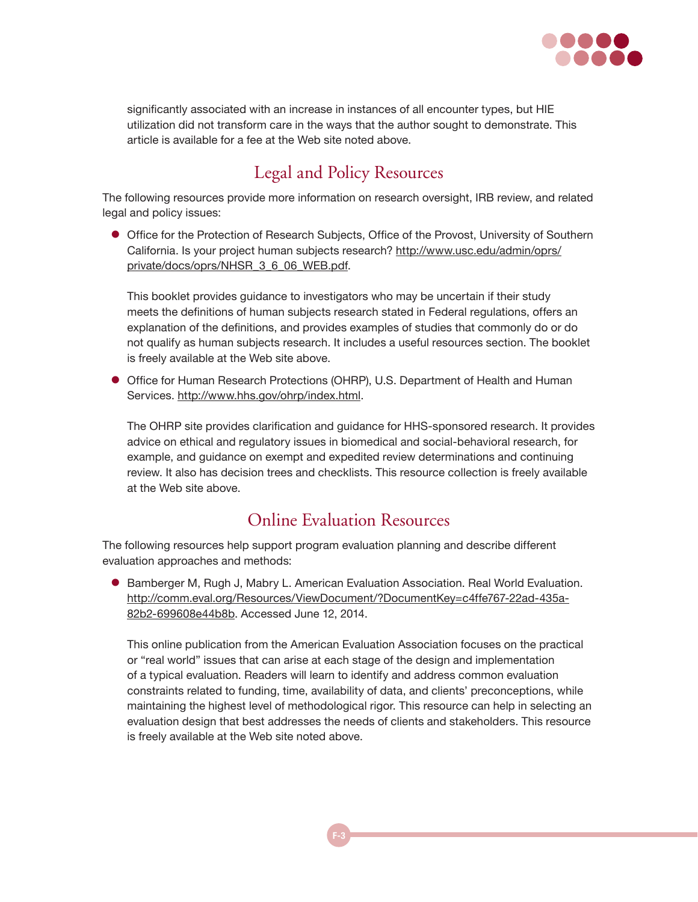

significantly associated with an increase in instances of all encounter types, but HIE utilization did not transform care in the ways that the author sought to demonstrate. This article is available for a fee at the Web site noted above.

# Legal and Policy Resources

The following resources provide more information on research oversight, IRB review, and related legal and policy issues:

• Office for the Protection of Research Subjects, Office of the Provost, University of Southern California. Is your project human subjects research? [http://www.usc.edu/admin/oprs/](http://www.usc.edu/admin/oprs/private/docs/oprs/NHSR_3_6_06_WEB.pdf) [private/docs/oprs/NHSR\\_3\\_6\\_06\\_WEB.pdf](http://www.usc.edu/admin/oprs/private/docs/oprs/NHSR_3_6_06_WEB.pdf).

This booklet provides guidance to investigators who may be uncertain if their study meets the definitions of human subjects research stated in Federal regulations, offers an explanation of the definitions, and provides examples of studies that commonly do or do not qualify as human subjects research. It includes a useful resources section. The booklet is freely available at the Web site above.

**• Office for Human Research Protections (OHRP), U.S. Department of Health and Human** Services. <http://www.hhs.gov/ohrp/index.html>.

The OHRP site provides clarification and guidance for HHS-sponsored research. It provides advice on ethical and regulatory issues in biomedical and social-behavioral research, for example, and guidance on exempt and expedited review determinations and continuing review. It also has decision trees and checklists. This resource collection is freely available at the Web site above.

#### Online Evaluation Resources

The following resources help support program evaluation planning and describe different evaluation approaches and methods:

**• Bamberger M, Rugh J, Mabry L. American Evaluation Association. Real World Evaluation.** [http://comm.eval.org/Resources/ViewDocument/?DocumentKey=c4ffe767-22ad-435a-](http://comm.eval.org/Resources/ViewDocument/?DocumentKey=c4ffe767-22ad-435a-82b2-699608e44b8b)[82b2-699608e44b8b.](http://comm.eval.org/Resources/ViewDocument/?DocumentKey=c4ffe767-22ad-435a-82b2-699608e44b8b) Accessed June 12, 2014.

This online publication from the American Evaluation Association focuses on the practical or "real world" issues that can arise at each stage of the design and implementation of a typical evaluation. Readers will learn to identify and address common evaluation constraints related to funding, time, availability of data, and clients' preconceptions, while maintaining the highest level of methodological rigor. This resource can help in selecting an evaluation design that best addresses the needs of clients and stakeholders. This resource is freely available at the Web site noted above.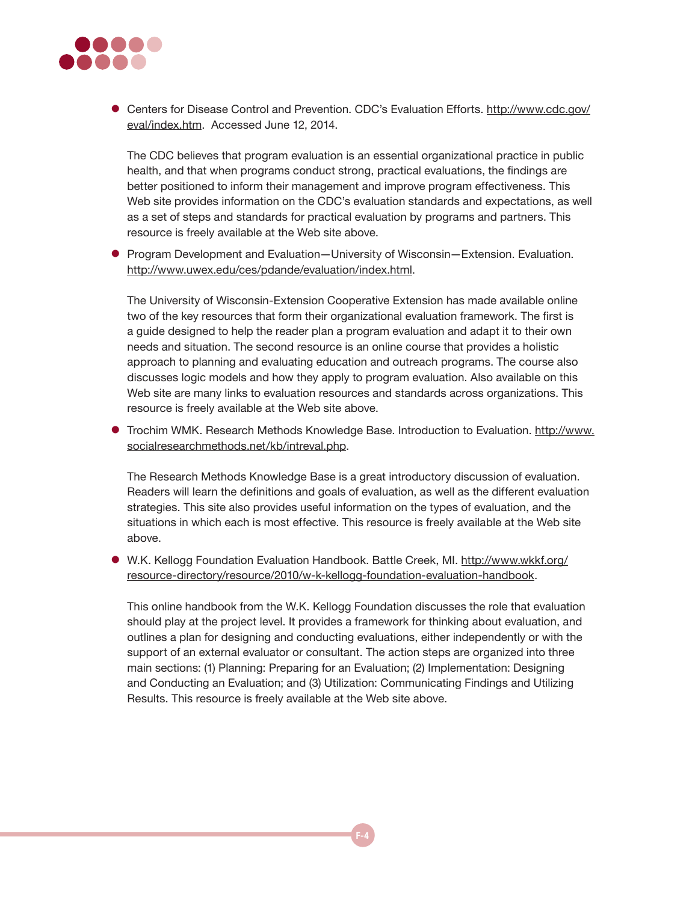

• Centers for Disease Control and Prevention. CDC's Evaluation Efforts. [http://www.cdc.gov/](http://www.cdc.gov/eval/index.htm) [eval/index.htm](http://www.cdc.gov/eval/index.htm). Accessed June 12, 2014.

The CDC believes that program evaluation is an essential organizational practice in public health, and that when programs conduct strong, practical evaluations, the findings are better positioned to inform their management and improve program effectiveness. This Web site provides information on the CDC's evaluation standards and expectations, as well as a set of steps and standards for practical evaluation by programs and partners. This resource is freely available at the Web site above.

● Program Development and Evaluation—University of Wisconsin—Extension. Evaluation. [http://www.uwex.edu/ces/pdande/evaluation/index.html.]( http://www.uwex.edu/ces/pdande/evaluation/index.html)

The University of Wisconsin-Extension Cooperative Extension has made available online two of the key resources that form their organizational evaluation framework. The first is a guide designed to help the reader plan a program evaluation and adapt it to their own needs and situation. The second resource is an online course that provides a holistic approach to planning and evaluating education and outreach programs. The course also discusses logic models and how they apply to program evaluation. Also available on this Web site are many links to evaluation resources and standards across organizations. This resource is freely available at the Web site above.

**•** Trochim WMK. Research Methods Knowledge Base. Introduction to Evaluation. [http://www.](http://www.socialresearchmethods.net/kb/intreval.php) [socialresearchmethods.net/kb/intreval.php.](http://www.socialresearchmethods.net/kb/intreval.php)

The Research Methods Knowledge Base is a great introductory discussion of evaluation. Readers will learn the definitions and goals of evaluation, as well as the different evaluation strategies. This site also provides useful information on the types of evaluation, and the situations in which each is most effective. This resource is freely available at the Web site above.

• W.K. Kellogg Foundation Evaluation Handbook. Battle Creek, MI. [http://www.wkkf.org/](http://www.wkkf.org/resource-directory/resource/2010/w-k-kellogg-foundation-evaluation-handbook) [resource-directory/resource/2010/w-k-kellogg-foundation-evaluation-handbook.](http://www.wkkf.org/resource-directory/resource/2010/w-k-kellogg-foundation-evaluation-handbook)

This online handbook from the W.K. Kellogg Foundation discusses the role that evaluation should play at the project level. It provides a framework for thinking about evaluation, and outlines a plan for designing and conducting evaluations, either independently or with the support of an external evaluator or consultant. The action steps are organized into three main sections: (1) Planning: Preparing for an Evaluation; (2) Implementation: Designing and Conducting an Evaluation; and (3) Utilization: Communicating Findings and Utilizing Results. This resource is freely available at the Web site above.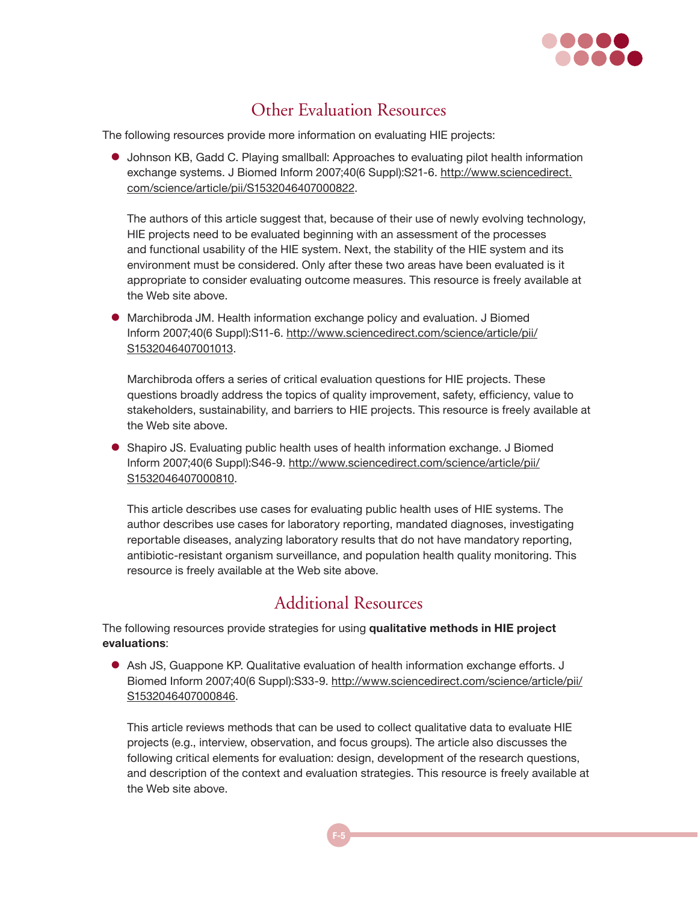

## Other Evaluation Resources

The following resources provide more information on evaluating HIE projects:

**•** Johnson KB, Gadd C. Playing smallball: Approaches to evaluating pilot health information exchange systems. J Biomed Inform 2007;40(6 Suppl):S21-6. [http://www.sciencedirect.](http://www.sciencedirect.com/science/article/pii/S1532046407000822) [com/science/article/pii/S1532046407000822](http://www.sciencedirect.com/science/article/pii/S1532046407000822).

The authors of this article suggest that, because of their use of newly evolving technology, HIE projects need to be evaluated beginning with an assessment of the processes and functional usability of the HIE system. Next, the stability of the HIE system and its environment must be considered. Only after these two areas have been evaluated is it appropriate to consider evaluating outcome measures. This resource is freely available at the Web site above.

**•** Marchibroda JM. Health information exchange policy and evaluation. J Biomed Inform 2007;40(6 Suppl):S11-6. [http://www.sciencedirect.com/science/article/pii/](http://www.sciencedirect.com/science/article/pii/S1532046407001013) [S1532046407001013](http://www.sciencedirect.com/science/article/pii/S1532046407001013).

Marchibroda offers a series of critical evaluation questions for HIE projects. These questions broadly address the topics of quality improvement, safety, efficiency, value to stakeholders, sustainability, and barriers to HIE projects. This resource is freely available at the Web site above.

• Shapiro JS. Evaluating public health uses of health information exchange. J Biomed Inform 2007;40(6 Suppl):S46-9. [http://www.sciencedirect.com/science/article/pii/](http://www.sciencedirect.com/science/article/pii/S1532046407000810) [S1532046407000810](http://www.sciencedirect.com/science/article/pii/S1532046407000810).

This article describes use cases for evaluating public health uses of HIE systems. The author describes use cases for laboratory reporting, mandated diagnoses, investigating reportable diseases, analyzing laboratory results that do not have mandatory reporting, antibiotic-resistant organism surveillance, and population health quality monitoring. This resource is freely available at the Web site above.

## Additional Resources

The following resources provide strategies for using **qualitative methods in HIE project evaluations**:

• Ash JS, Guappone KP. Qualitative evaluation of health information exchange efforts. J Biomed Inform 2007;40(6 Suppl):S33-9. [http://www.sciencedirect.com/science/article/pii/](http://www.sciencedirect.com/science/article/pii/S1532046407000846) [S1532046407000846](http://www.sciencedirect.com/science/article/pii/S1532046407000846).

This article reviews methods that can be used to collect qualitative data to evaluate HIE projects (e.g., interview, observation, and focus groups). The article also discusses the following critical elements for evaluation: design, development of the research questions, and description of the context and evaluation strategies. This resource is freely available at the Web site above.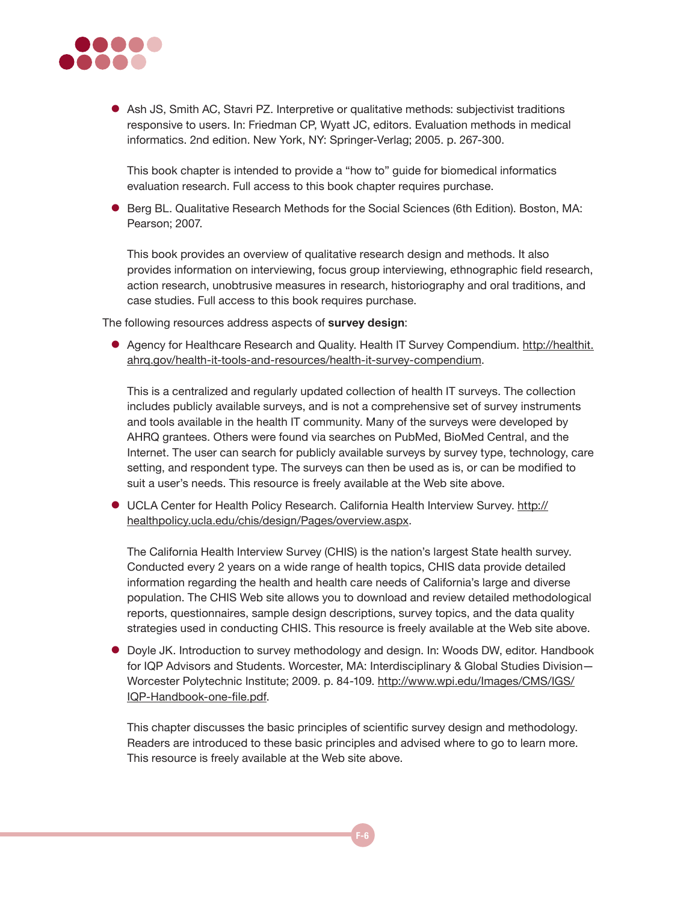

• Ash JS, Smith AC, Stavri PZ. Interpretive or qualitative methods: subjectivist traditions responsive to users. In: Friedman CP, Wyatt JC, editors. Evaluation methods in medical informatics. 2nd edition. New York, NY: Springer-Verlag; 2005. p. 267-300.

This book chapter is intended to provide a "how to" guide for biomedical informatics evaluation research. Full access to this book chapter requires purchase.

**• Berg BL. Qualitative Research Methods for the Social Sciences (6th Edition). Boston, MA:** Pearson; 2007.

This book provides an overview of qualitative research design and methods. It also provides information on interviewing, focus group interviewing, ethnographic field research, action research, unobtrusive measures in research, historiography and oral traditions, and case studies. Full access to this book requires purchase.

The following resources address aspects of **survey design**:

• Agency for Healthcare Research and Quality. Health IT Survey Compendium. [http://healthit.](http://healthit.ahrq.gov/portal/server.pt/community/health_it_tools_and_resources/919/health_it_survey_compendium/27874) [ahrq.gov/health-it-tools-and-resources/health-it-survey-compendium](http://healthit.ahrq.gov/portal/server.pt/community/health_it_tools_and_resources/919/health_it_survey_compendium/27874).

This is a centralized and regularly updated collection of health IT surveys. The collection includes publicly available surveys, and is not a comprehensive set of survey instruments and tools available in the health IT community. Many of the surveys were developed by AHRQ grantees. Others were found via searches on PubMed, BioMed Central, and the Internet. The user can search for publicly available surveys by survey type, technology, care setting, and respondent type. The surveys can then be used as is, or can be modified to suit a user's needs. This resource is freely available at the Web site above.

**• UCLA Center for Health Policy Research. California Health Interview Survey. [http://](http://healthpolicy.ucla.edu/chis/design/Pages/overview.aspx)** [healthpolicy.ucla.edu/chis/design/Pages/overview.aspx.](http://healthpolicy.ucla.edu/chis/design/Pages/overview.aspx)

The California Health Interview Survey (CHIS) is the nation's largest State health survey. Conducted every 2 years on a wide range of health topics, CHIS data provide detailed information regarding the health and health care needs of California's large and diverse population. The CHIS Web site allows you to download and review detailed methodological reports, questionnaires, sample design descriptions, survey topics, and the data quality strategies used in conducting CHIS. This resource is freely available at the Web site above.

**•** Doyle JK. Introduction to survey methodology and design. In: Woods DW, editor. Handbook for IQP Advisors and Students. Worcester, MA: Interdisciplinary & Global Studies Division— Worcester Polytechnic Institute; 2009. p. 84-109. [http://www.wpi.edu/Images/CMS/IGS/](http://www.wpi.edu/Images/CMS/IGS/IQP-Handbook-one-file.pdf) [IQP-Handbook-one-file.pdf](http://www.wpi.edu/Images/CMS/IGS/IQP-Handbook-one-file.pdf).

This chapter discusses the basic principles of scientific survey design and methodology. Readers are introduced to these basic principles and advised where to go to learn more. This resource is freely available at the Web site above.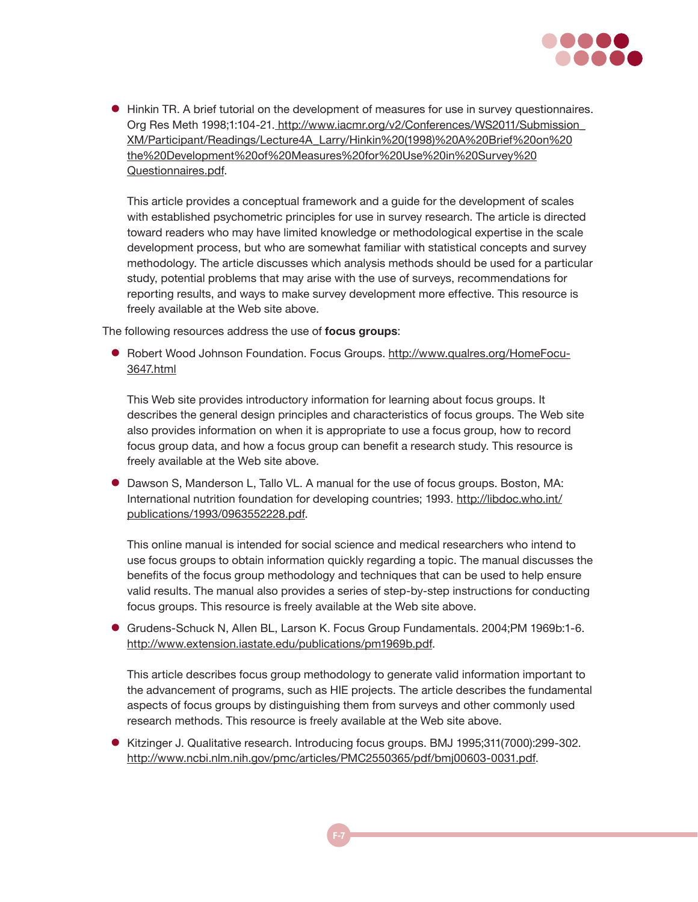

 $\bullet$  Hinkin TR. A brief tutorial on the development of measures for use in survey questionnaires. Org Res Meth 1998;1:104-21. http://www.iacmr.org/v2/Conferences/WS2011/Submission [XM/Participant/Readings/Lecture4A\\_Larry/Hinkin%20\(1998\)%20A%20Brief%20on%20](http://www.iacmr.org/v2/Conferences/WS2011/Submission_XM/Participant/Readings/Lecture4A_Larry/Hinkin (1998) A Brief on the Development of Measures for Use in Survey Questionnaires.pdf) [the%20Development%20of%20Measures%20for%20Use%20in%20Survey%20](http://www.iacmr.org/v2/Conferences/WS2011/Submission_XM/Participant/Readings/Lecture4A_Larry/Hinkin (1998) A Brief on the Development of Measures for Use in Survey Questionnaires.pdf) [Questionnaires.pdf.](http://www.iacmr.org/v2/Conferences/WS2011/Submission_XM/Participant/Readings/Lecture4A_Larry/Hinkin (1998) A Brief on the Development of Measures for Use in Survey Questionnaires.pdf)

This article provides a conceptual framework and a guide for the development of scales with established psychometric principles for use in survey research. The article is directed toward readers who may have limited knowledge or methodological expertise in the scale development process, but who are somewhat familiar with statistical concepts and survey methodology. The article discusses which analysis methods should be used for a particular study, potential problems that may arise with the use of surveys, recommendations for reporting results, and ways to make survey development more effective. This resource is freely available at the Web site above.

The following resources address the use of **focus groups**:

● Robert Wood Johnson Foundation. Focus Groups. [http://www.qualres.org/HomeFocu-](http://www.qualres.org/HomeFocu-3647.html)[3647.html](http://www.qualres.org/HomeFocu-3647.html)

This Web site provides introductory information for learning about focus groups. It describes the general design principles and characteristics of focus groups. The Web site also provides information on when it is appropriate to use a focus group, how to record focus group data, and how a focus group can benefit a research study. This resource is freely available at the Web site above.

• Dawson S, Manderson L, Tallo VL. A manual for the use of focus groups. Boston, MA: International nutrition foundation for developing countries; 1993. [http://libdoc.who.int/](http://libdoc.who.int/publications/1993/0963552228.pdf) [publications/1993/0963552228.pdf.](http://libdoc.who.int/publications/1993/0963552228.pdf)

This online manual is intended for social science and medical researchers who intend to use focus groups to obtain information quickly regarding a topic. The manual discusses the benefits of the focus group methodology and techniques that can be used to help ensure valid results. The manual also provides a series of step-by-step instructions for conducting focus groups. This resource is freely available at the Web site above.

● Grudens-Schuck N, Allen BL, Larson K. Focus Group Fundamentals. 2004;PM 1969b:1-6. <http://www.extension.iastate.edu/publications/pm1969b.pdf>.

This article describes focus group methodology to generate valid information important to the advancement of programs, such as HIE projects. The article describes the fundamental aspects of focus groups by distinguishing them from surveys and other commonly used research methods. This resource is freely available at the Web site above.

• Kitzinger J. Qualitative research. Introducing focus groups. BMJ 1995;311(7000):299-302. [http://www.ncbi.nlm.nih.gov/pmc/articles/PMC2550365/pdf/bmj00603-0031.pdf.](http://www.ncbi.nlm.nih.gov/pmc/articles/PMC2550365/pdf/bmj00603-0031.pdf)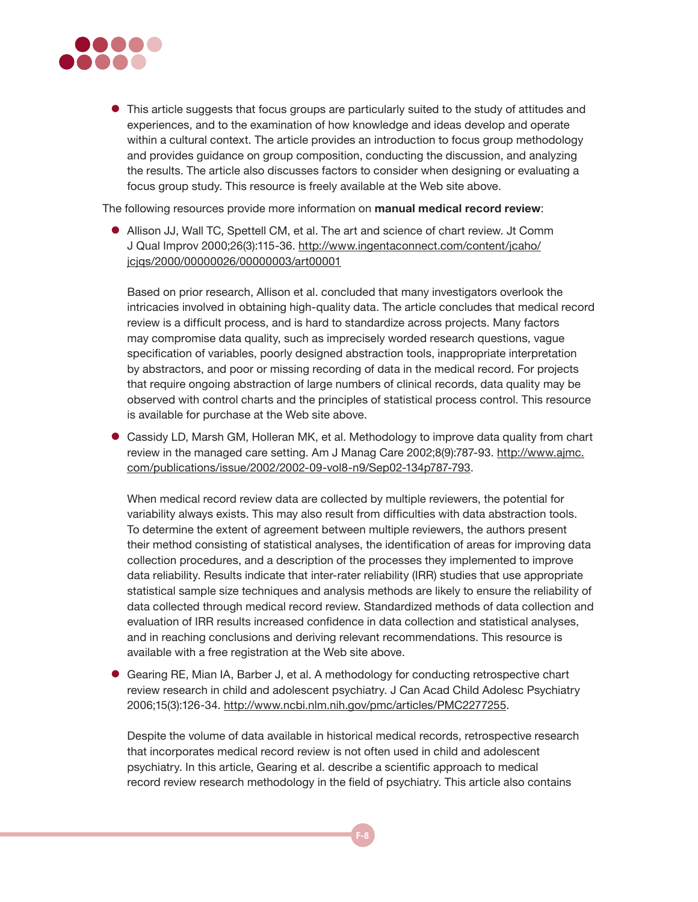

• This article suggests that focus groups are particularly suited to the study of attitudes and experiences, and to the examination of how knowledge and ideas develop and operate within a cultural context. The article provides an introduction to focus group methodology and provides guidance on group composition, conducting the discussion, and analyzing the results. The article also discusses factors to consider when designing or evaluating a focus group study. This resource is freely available at the Web site above.

The following resources provide more information on **manual medical record review**:

**•** Allison JJ, Wall TC, Spettell CM, et al. The art and science of chart review. Jt Comm J Qual Improv 2000;26(3):115-36. [http://www.ingentaconnect.com/content/jcaho/](http://www.ingentaconnect.com/content/jcaho/jcjqs/2000/00000026/00000003/art00001) [jcjqs/2000/00000026/00000003/art00001](http://www.ingentaconnect.com/content/jcaho/jcjqs/2000/00000026/00000003/art00001)

Based on prior research, Allison et al. concluded that many investigators overlook the intricacies involved in obtaining high-quality data. The article concludes that medical record review is a difficult process, and is hard to standardize across projects. Many factors may compromise data quality, such as imprecisely worded research questions, vague specification of variables, poorly designed abstraction tools, inappropriate interpretation by abstractors, and poor or missing recording of data in the medical record. For projects that require ongoing abstraction of large numbers of clinical records, data quality may be observed with control charts and the principles of statistical process control. This resource is available for purchase at the Web site above.

**• Cassidy LD, Marsh GM, Holleran MK, et al. Methodology to improve data quality from chart** review in the managed care setting. Am J Manag Care 2002;8(9):787-93. [http://www.ajmc.](http://www.ajmc.com/publications/issue/2002/2002-09-vol8-n9/Sep02-134p787-793) [com/publications/issue/2002/2002-09-vol8-n9/Sep02-134p787-793.](http://www.ajmc.com/publications/issue/2002/2002-09-vol8-n9/Sep02-134p787-793)

When medical record review data are collected by multiple reviewers, the potential for variability always exists. This may also result from difficulties with data abstraction tools. To determine the extent of agreement between multiple reviewers, the authors present their method consisting of statistical analyses, the identification of areas for improving data collection procedures, and a description of the processes they implemented to improve data reliability. Results indicate that inter-rater reliability (IRR) studies that use appropriate statistical sample size techniques and analysis methods are likely to ensure the reliability of data collected through medical record review. Standardized methods of data collection and evaluation of IRR results increased confidence in data collection and statistical analyses, and in reaching conclusions and deriving relevant recommendations. This resource is available with a free registration at the Web site above.

Gearing RE, Mian IA, Barber J, et al. A methodology for conducting retrospective chart review research in child and adolescent psychiatry. J Can Acad Child Adolesc Psychiatry 2006;15(3):126-34.<http://www.ncbi.nlm.nih.gov/pmc/articles/PMC2277255>.

Despite the volume of data available in historical medical records, retrospective research that incorporates medical record review is not often used in child and adolescent psychiatry. In this article, Gearing et al. describe a scientific approach to medical record review research methodology in the field of psychiatry. This article also contains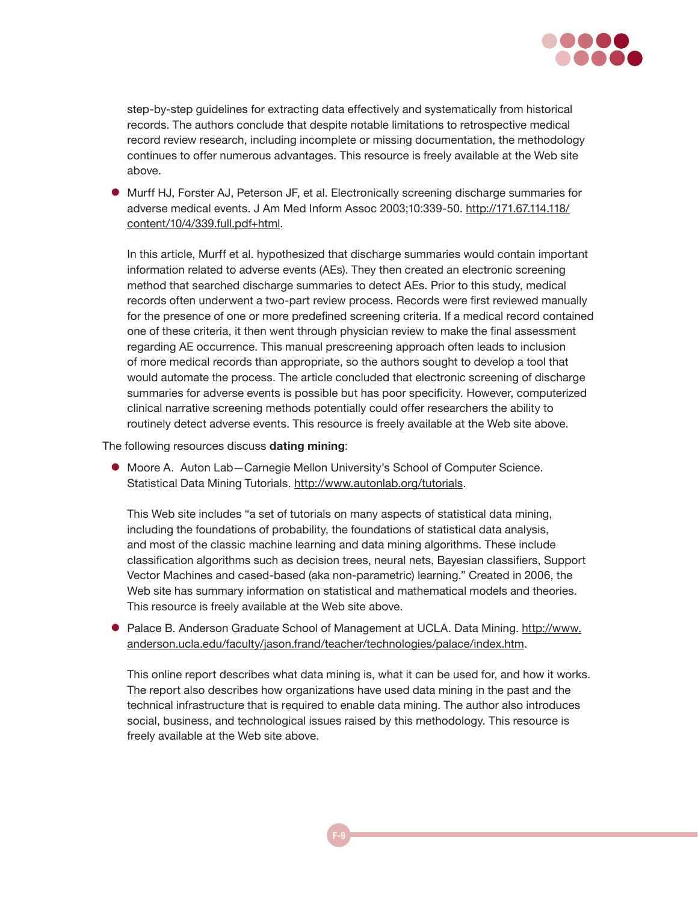

step-by-step guidelines for extracting data effectively and systematically from historical records. The authors conclude that despite notable limitations to retrospective medical record review research, including incomplete or missing documentation, the methodology continues to offer numerous advantages. This resource is freely available at the Web site above.

**• Murff HJ, Forster AJ, Peterson JF, et al. Electronically screening discharge summaries for** adverse medical events. J Am Med Inform Assoc 2003;10:339-50. [http://171.67.114.118/](http://171.67.114.118/content/10/4/339.full.pdf+html) [content/10/4/339.full.pdf+html.](http://171.67.114.118/content/10/4/339.full.pdf+html)

In this article, Murff et al. hypothesized that discharge summaries would contain important information related to adverse events (AEs). They then created an electronic screening method that searched discharge summaries to detect AEs. Prior to this study, medical records often underwent a two-part review process. Records were first reviewed manually for the presence of one or more predefined screening criteria. If a medical record contained one of these criteria, it then went through physician review to make the final assessment regarding AE occurrence. This manual prescreening approach often leads to inclusion of more medical records than appropriate, so the authors sought to develop a tool that would automate the process. The article concluded that electronic screening of discharge summaries for adverse events is possible but has poor specificity. However, computerized clinical narrative screening methods potentially could offer researchers the ability to routinely detect adverse events. This resource is freely available at the Web site above.

The following resources discuss **dating mining**:

 $\bullet$  Moore A. Auton Lab-Carnegie Mellon University's School of Computer Science. Statistical Data Mining Tutorials.<http://www.autonlab.org/tutorials>.

This Web site includes "a set of tutorials on many aspects of statistical data mining, including the foundations of probability, the foundations of statistical data analysis, and most of the classic machine learning and data mining algorithms. These include classification algorithms such as decision trees, neural nets, Bayesian classifiers, Support Vector Machines and cased-based (aka non-parametric) learning." Created in 2006, the Web site has summary information on statistical and mathematical models and theories. This resource is freely available at the Web site above.

**• Palace B. Anderson Graduate School of Management at UCLA. Data Mining. [http://www.](http://www.anderson.ucla.edu/faculty/jason.frand/teacher/technologies/palace/index.htm)** [anderson.ucla.edu/faculty/jason.frand/teacher/technologies/palace/index.htm.](http://www.anderson.ucla.edu/faculty/jason.frand/teacher/technologies/palace/index.htm)

This online report describes what data mining is, what it can be used for, and how it works. The report also describes how organizations have used data mining in the past and the technical infrastructure that is required to enable data mining. The author also introduces social, business, and technological issues raised by this methodology. This resource is freely available at the Web site above.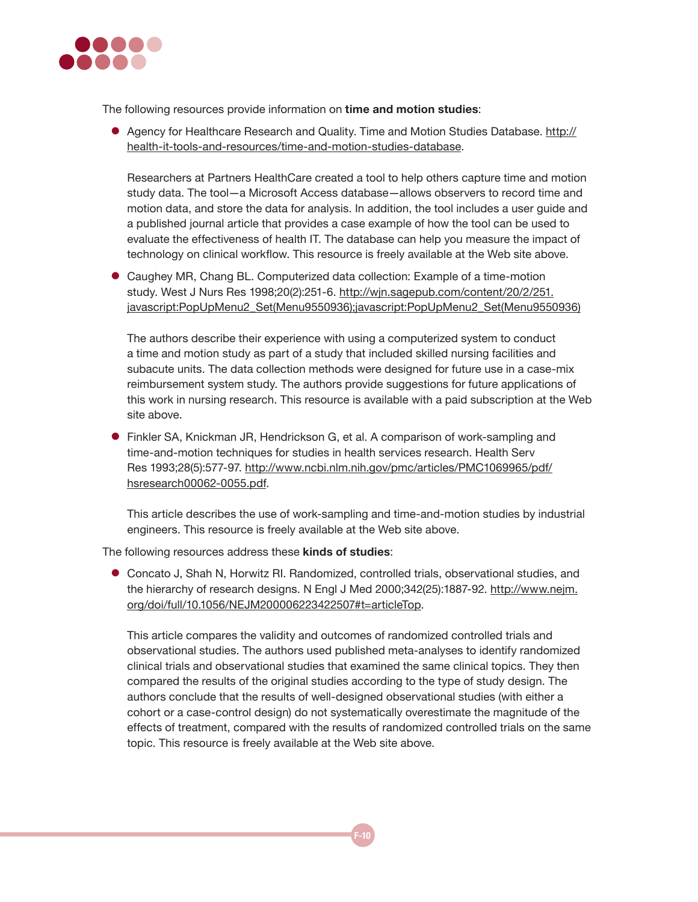

The following resources provide information on **time and motion studies**:

• Agency for Healthcare Research and Quality. Time and Motion Studies Database. [http://](http://healthit.ahrq.gov/portal/server.pt/community/health_it_tools_and_resources/919/time_and_motion_studies_database/27878) [health-it-tools-and-resources/t](http://healthit.ahrq.gov/portal/server.pt/community/health_it_tools_and_resources/919/time_and_motion_studies_database/27878)ime-and-motion-studies-database.

Researchers at Partners HealthCare created a tool to help others capture time and motion study data. The tool—a Microsoft Access database—allows observers to record time and motion data, and store the data for analysis. In addition, the tool includes a user guide and a published journal article that provides a case example of how the tool can be used to evaluate the effectiveness of health IT. The database can help you measure the impact of technology on clinical workflow. This resource is freely available at the Web site above.

• Caughey MR, Chang BL. Computerized data collection: Example of a time-motion study. West J Nurs Res 1998;20(2):251-6. [http://wjn.sagepub.com/content/20/2/251.](http://wjn.sagepub.com/content/20/2/251.javascript:PopUpMenu2_Set(Menu9550936);javascript:PopUpMenu2_Set(Menu9550936)) [javascript:PopUpMenu2\\_Set\(Menu9550936\);javascript:PopUpMenu2\\_Set\(Menu9550936\)](http://wjn.sagepub.com/content/20/2/251.javascript:PopUpMenu2_Set(Menu9550936);javascript:PopUpMenu2_Set(Menu9550936))

The authors describe their experience with using a computerized system to conduct a time and motion study as part of a study that included skilled nursing facilities and subacute units. The data collection methods were designed for future use in a case-mix reimbursement system study. The authors provide suggestions for future applications of this work in nursing research. This resource is available with a paid subscription at the Web site above.

**•** Finkler SA, Knickman JR, Hendrickson G, et al. A comparison of work-sampling and time-and-motion techniques for studies in health services research. Health Serv Res 1993;28(5):577-97. [http://www.ncbi.nlm.nih.gov/pmc/articles/PMC1069965/pdf/](http://www.ncbi.nlm.nih.gov/pmc/articles/PMC1069965/pdf/hsresearch00062-0055.pdf) [hsresearch00062-0055.pdf.](http://www.ncbi.nlm.nih.gov/pmc/articles/PMC1069965/pdf/hsresearch00062-0055.pdf)

This article describes the use of work-sampling and time-and-motion studies by industrial engineers. This resource is freely available at the Web site above.

The following resources address these **kinds of studies**:

**• Concato J, Shah N, Horwitz RI. Randomized, controlled trials, observational studies, and** the hierarchy of research designs. N Engl J Med 2000;342(25):1887-92. [http://www.nejm.](http://www.nejm.org/doi/full/10.1056/NEJM200006223422507%23t=articleTop) [org/doi/full/10.1056/NEJM200006223422507#t=articleTop](http://www.nejm.org/doi/full/10.1056/NEJM200006223422507%23t=articleTop).

This article compares the validity and outcomes of randomized controlled trials and observational studies. The authors used published meta-analyses to identify randomized clinical trials and observational studies that examined the same clinical topics. They then compared the results of the original studies according to the type of study design. The authors conclude that the results of well-designed observational studies (with either a cohort or a case-control design) do not systematically overestimate the magnitude of the effects of treatment, compared with the results of randomized controlled trials on the same topic. This resource is freely available at the Web site above.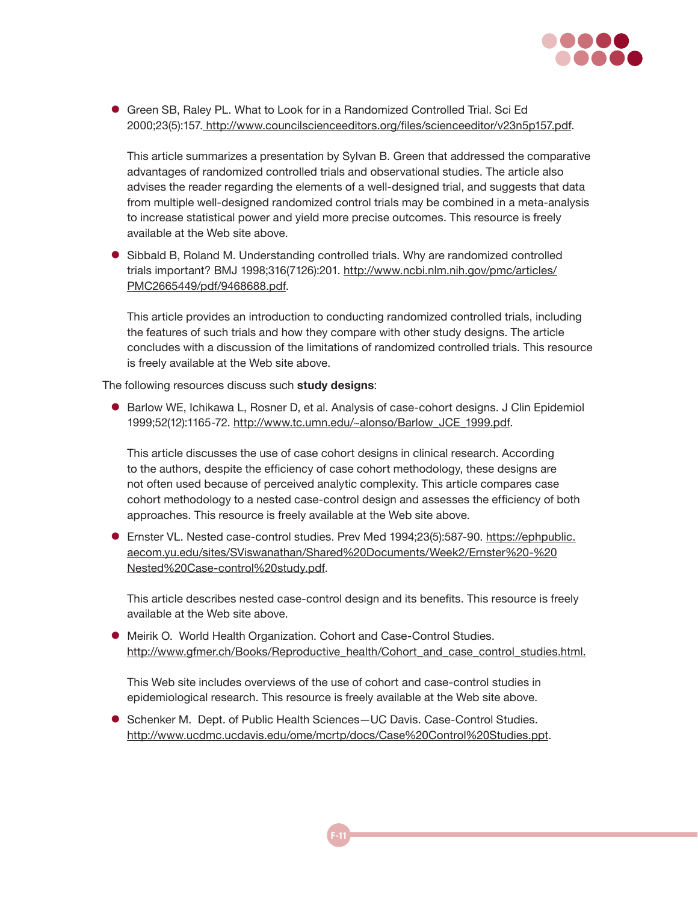

● Green SB, Raley PL. What to Look for in a Randomized Controlled Trial. Sci Ed 2000;23(5):157. <http://www.councilscienceeditors.org/files/scienceeditor/v23n5p157.pdf>.

This article summarizes a presentation by Sylvan B. Green that addressed the comparative advantages of randomized controlled trials and observational studies. The article also advises the reader regarding the elements of a well-designed trial, and suggests that data from multiple well-designed randomized control trials may be combined in a meta-analysis to increase statistical power and yield more precise outcomes. This resource is freely available at the Web site above.

**B** Sibbald B, Roland M. Understanding controlled trials. Why are randomized controlled trials important? BMJ 1998;316(7126):201. [http://www.ncbi.nlm.nih.gov/pmc/articles/](http://www.ncbi.nlm.nih.gov/pmc/articles/PMC2665449/pdf/9468688.pdf) [PMC2665449/pdf/9468688.pdf.](http://www.ncbi.nlm.nih.gov/pmc/articles/PMC2665449/pdf/9468688.pdf)

This article provides an introduction to conducting randomized controlled trials, including the features of such trials and how they compare with other study designs. The article concludes with a discussion of the limitations of randomized controlled trials. This resource is freely available at the Web site above.

The following resources discuss such **study designs**:

**• Barlow WE, Ichikawa L, Rosner D, et al. Analysis of case-cohort designs. J Clin Epidemiol** 1999;52(12):1165-72. [http://www.tc.umn.edu/~alonso/Barlow\\_JCE\\_1999.pdf](http://www.tc.umn.edu/~alonso/Barlow_JCE_1999.pdf).

This article discusses the use of case cohort designs in clinical research. According to the authors, despite the efficiency of case cohort methodology, these designs are not often used because of perceived analytic complexity. This article compares case cohort methodology to a nested case-control design and assesses the efficiency of both approaches. This resource is freely available at the Web site above.

**Ernster VL. Nested case-control studies. Prev Med 1994;23(5):587-90. [https://ephpublic.](https://ephpublic.aecom.yu.edu/sites/SViswanathan/Shared Documents/Week2/Ernster - Nested Case-control study.pdf)** [aecom.yu.edu/sites/SViswanathan/Shared%20Documents/Week2/Ernster%20-%20](https://ephpublic.aecom.yu.edu/sites/SViswanathan/Shared Documents/Week2/Ernster - Nested Case-control study.pdf) [Nested%20Case-control%20study.pdf.](https://ephpublic.aecom.yu.edu/sites/SViswanathan/Shared Documents/Week2/Ernster - Nested Case-control study.pdf)

This article describes nested case-control design and its benefits. This resource is freely available at the Web site above.

 $\bullet$  Meirik O. World Health Organization. Cohort and Case-Control Studies. [http://www.gfmer.ch/Books/Reproductive\\_health/Cohort\\_and\\_case\\_control\\_studies.html](http://www.gfmer.ch/Books/Reproductive_health/Cohort_and_case_control_studies.html).

This Web site includes overviews of the use of cohort and case-control studies in epidemiological research. This resource is freely available at the Web site above.

● Schenker M. Dept. of Public Health Sciences–UC Davis. Case-Control Studies. [http://www.ucdmc.ucdavis.edu/ome/mcrtp/docs/Case%20Control%20Studies.ppt](http://www.ucdmc.ucdavis.edu/ome/mcrtp/docs/Case Control Studies.ppt).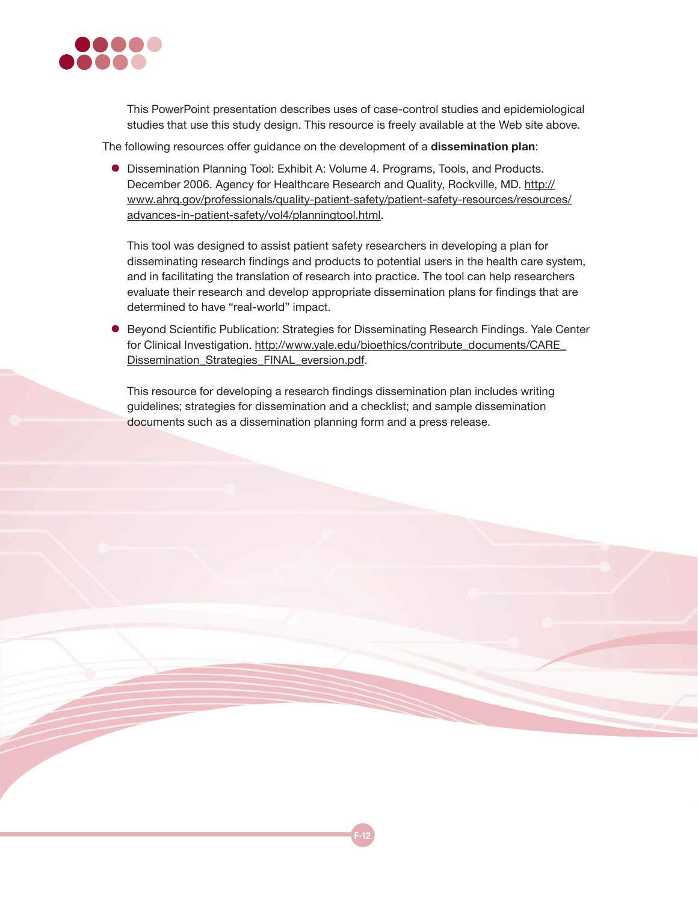

This PowerPoint presentation describes uses of case-control studies and epidemiological studies that use this study design. This resource is freely available at the Web site above.

The following resources offer guidance on the development of a **dissemination plan**:

**•** Dissemination Planning Tool: Exhibit A: Volume 4. Programs, Tools, and Products. December 2006. Agency for Healthcare Research and Quality, Rockville, MD. [http://](http://www.ahrq.gov/professionals/quality-patient-safety/patient-safety-resources/resources/advances-in-patient-safety/vol4/planningtool.html) [www.ahrq.gov/professionals/quality-patient-safety/patient-safety-resources/resources/](http://www.ahrq.gov/professionals/quality-patient-safety/patient-safety-resources/resources/advances-in-patient-safety/vol4/planningtool.html) [advances-in-patient-safety/vol4/planningtool.html](http://www.ahrq.gov/professionals/quality-patient-safety/patient-safety-resources/resources/advances-in-patient-safety/vol4/planningtool.html).

This tool was designed to assist patient safety researchers in developing a plan for disseminating research findings and products to potential users in the health care system, and in facilitating the translation of research into practice. The tool can help researchers evaluate their research and develop appropriate dissemination plans for findings that are determined to have "real-world" impact.

**• Beyond Scientific Publication: Strategies for Disseminating Research Findings. Yale Center** for Clinical Investigation. [http://www.yale.edu/bioethics/contribute\\_documents/CARE\\_](http://www.yale.edu/bioethics/contribute_documents/CARE_Dissemination_Strategies_FINAL_eversion.pdf) [Dissemination\\_Strategies\\_FINAL\\_eversion.pdf.](http://www.yale.edu/bioethics/contribute_documents/CARE_Dissemination_Strategies_FINAL_eversion.pdf)

This resource for developing a research findings dissemination plan includes writing guidelines; strategies for dissemination and a checklist; and sample dissemination documents such as a dissemination planning form and a press release.